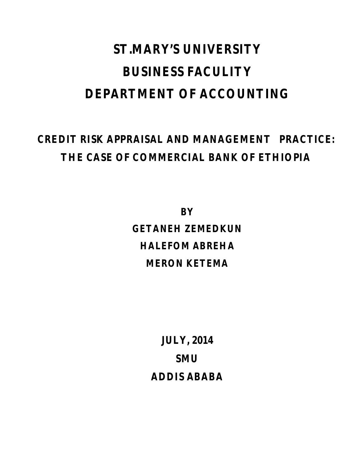# **ST.MARY'S UNIVERSITY BUSINESS FACULITY DEPARTMENT OF ACCOUNTING**

# **CREDIT RISK APPRAISAL AND MANAGEMENT PRACTICE: THE CASE OF COMMERCIAL BANK OF ETHIOPIA**

**BY GETANEH ZEMEDKUN HALEFOM ABREHA MERON KETEMA**

> **JULY, 2014 SMU ADDIS ABABA**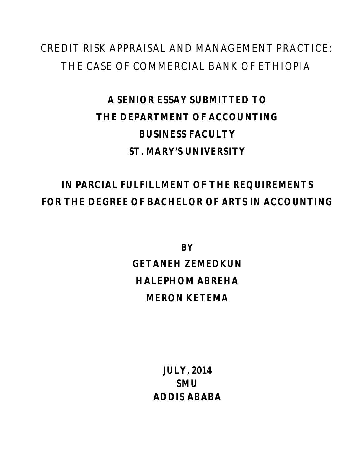# CREDIT RISK APPRAISAL AND MANAGEMENT PRACTICE: THE CASE OF COMMERCIAL BANK OF ETHIOPIA

# **A SENIOR ESSAY SUBMITTED TO THE DEPARTMENT OF ACCOUNTING BUSINESS FACULTY ST. MARY'S UNIVERSITY**

# **IN PARCIAL FULFILLMENT OF THE REQUIREMENTS FOR THE DEGREE OF BACHELOR OF ARTS IN ACCOUNTING**

**BY GETANEH ZEMEDKUN HALEPHOM ABREHA MERON KETEMA**

> **JULY, 2014 SMU ADDIS ABABA**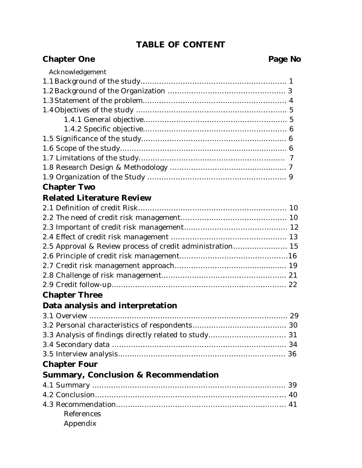# **TABLE OF CONTENT**

## **Chapter One** Page No Acknowledgement 1.1Background of the study…………………………………………………….. 1 1.2Background of the Organization ………………………………………….. 3 1.3Statement of the problem……………………………………………………. 4 1.4Objectives of the study ………………………………………………………. 5 1.4.1 General objective………………………………………………….... 5 1.4.2 Specific objective……………………………………………………. 6 1.5 Significance of the study………………………………………….............. 6 1.6 Scope of the study……………………………….................................... 6

# **Chapter Two**

# **Related Literature Review**

| 2.5 Approval & Review process of credit administration 15 |  |
|-----------------------------------------------------------|--|
|                                                           |  |
|                                                           |  |
|                                                           |  |
|                                                           |  |

# **Chapter Three**

## **Data analysis and interpretation**

# **Chapter Four**

# **Summary, Conclusion & Recommendation**

| References |  |
|------------|--|
| Appendix   |  |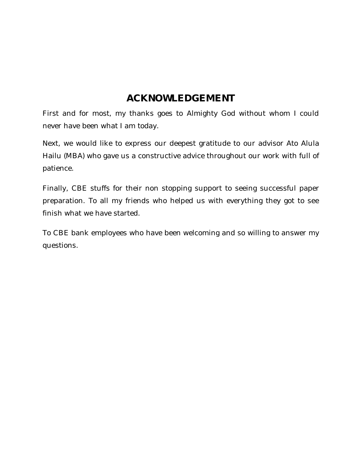# **ACKNOWLEDGEMENT**

First and for most, my thanks goes to Almighty God without whom I could never have been what I am today.

Next, we would like to express our deepest gratitude to our advisor Ato Alula Hailu (MBA) who gave us a constructive advice throughout our work with full of patience.

Finally, CBE stuffs for their non stopping support to seeing successful paper preparation. To all my friends who helped us with everything they got to see finish what we have started.

To CBE bank employees who have been welcoming and so willing to answer my questions.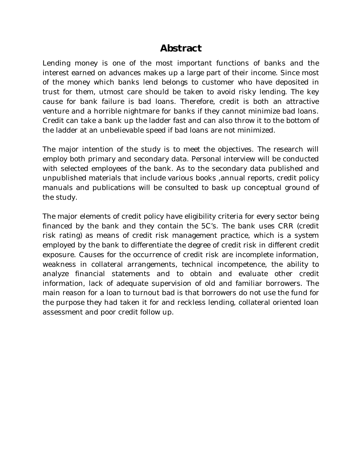# **Abstract**

Lending money is one of the most important functions of banks and the interest earned on advances makes up a large part of their income. Since most of the money which banks lend belongs to customer who have deposited in trust for them, utmost care should be taken to avoid risky lending. The key cause for bank failure is bad loans. Therefore, credit is both an attractive venture and a horrible nightmare for banks if they cannot minimize bad loans. Credit can take a bank up the ladder fast and can also throw it to the bottom of the ladder at an unbelievable speed if bad loans are not minimized.

The major intention of the study is to meet the objectives. The research will employ both primary and secondary data. Personal interview will be conducted with selected employees of the bank. As to the secondary data published and unpublished materials that include various books ,annual reports, credit policy manuals and publications will be consulted to bask up conceptual ground of the study.

The major elements of credit policy have eligibility criteria for every sector being financed by the bank and they contain the 5C's. The bank uses CRR (credit risk rating) as means of credit risk management practice, which is a system employed by the bank to differentiate the degree of credit risk in different credit exposure. Causes for the occurrence of credit risk are incomplete information, weakness in collateral arrangements, technical incompetence, the ability to analyze financial statements and to obtain and evaluate other credit information, lack of adequate supervision of old and familiar borrowers. The main reason for a loan to turnout bad is that borrowers do not use the fund for the purpose they had taken it for and reckless lending, collateral oriented loan assessment and poor credit follow up.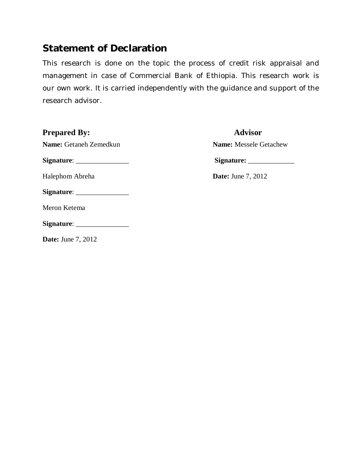# **Statement of Declaration**

This research is done on the topic the process of credit risk appraisal and management in case of Commercial Bank of Ethiopia. This research work is our own work. It is carried independently with the guidance and support of the research advisor.

| <b>Prepared By:</b>                                   | <b>Advisor</b>                |
|-------------------------------------------------------|-------------------------------|
| Name: Getaneh Zemedkun                                | <b>Name:</b> Messele Getachew |
|                                                       |                               |
| Halephom Abreha                                       | <b>Date:</b> June 7, 2012     |
|                                                       |                               |
| Meron Ketema                                          |                               |
| $Signature: \_\_\_\_\_\_\_\_\_\_\_\_\_\_\_\_\_\_\_\_$ |                               |
| <b>Date:</b> June 7, 2012                             |                               |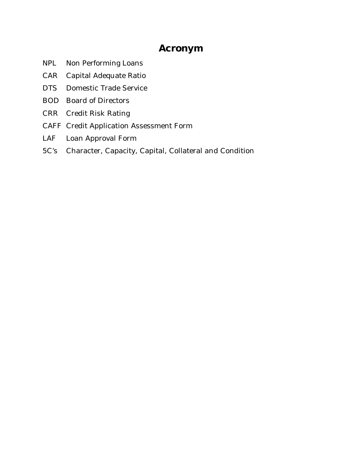# **Acronym**

- NPL Non Performing Loans
- CAR Capital Adequate Ratio
- DTS Domestic Trade Service
- BOD Board of Directors
- CRR Credit Risk Rating
- CAFF Credit Application Assessment Form
- LAF Loan Approval Form
- 5C's Character, Capacity, Capital, Collateral and Condition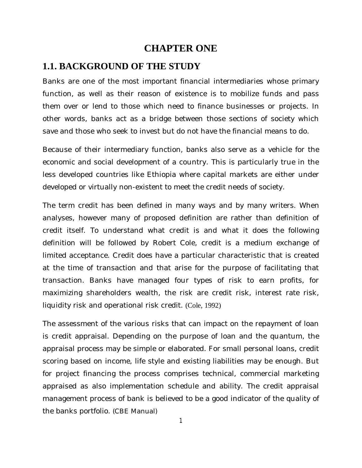## **CHAPTER ONE**

#### **1.1. BACKGROUND OF THE STUDY**

Banks are one of the most important financial intermediaries whose primary function, as well as their reason of existence is to mobilize funds and pass them over or lend to those which need to finance businesses or projects. In other words, banks act as a bridge between those sections of society which save and those who seek to invest but do not have the financial means to do.

Because of their intermediary function, banks also serve as a vehicle for the economic and social development of a country. This is particularly true in the less developed countries like Ethiopia where capital markets are either under developed or virtually non-existent to meet the credit needs of society.

The term credit has been defined in many ways and by many writers. When analyses, however many of proposed definition are rather than definition of credit itself. To understand what credit is and what it does the following definition will be followed by Robert Cole, credit is a medium exchange of limited acceptance. Credit does have a particular characteristic that is created at the time of transaction and that arise for the purpose of facilitating that transaction. Banks have managed four types of risk to earn profits, for maximizing shareholders wealth, the risk are credit risk, interest rate risk, liquidity risk and operational risk credit. (Cole, 1992)

The assessment of the various risks that can impact on the repayment of loan is credit appraisal. Depending on the purpose of loan and the quantum, the appraisal process may be simple or elaborated. For small personal loans, credit scoring based on income, life style and existing liabilities may be enough. But for project financing the process comprises technical, commercial marketing appraised as also implementation schedule and ability. The credit appraisal management process of bank is believed to be a good indicator of the quality of the banks portfolio. (CBE Manual)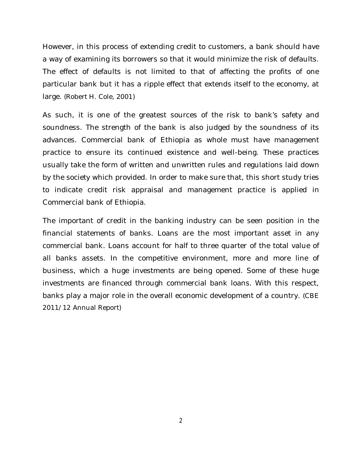However, in this process of extending credit to customers, a bank should have a way of examining its borrowers so that it would minimize the risk of defaults. The effect of defaults is not limited to that of affecting the profits of one particular bank but it has a ripple effect that extends itself to the economy, at large. (Robert H. Cole, 2001)

As such, it is one of the greatest sources of the risk to bank's safety and soundness. The strength of the bank is also judged by the soundness of its advances. Commercial bank of Ethiopia as whole must have management practice to ensure its continued existence and well-being. These practices usually take the form of written and unwritten rules and regulations laid down by the society which provided. In order to make sure that, this short study tries to indicate credit risk appraisal and management practice is applied in Commercial bank of Ethiopia.

The important of credit in the banking industry can be seen position in the financial statements of banks. Loans are the most important asset in any commercial bank. Loans account for half to three quarter of the total value of all banks assets. In the competitive environment, more and more line of business, which a huge investments are being opened. Some of these huge investments are financed through commercial bank loans. With this respect, banks play a major role in the overall economic development of a country. (CBE 2011/12 Annual Report)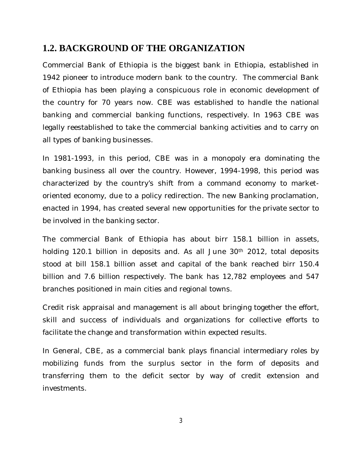# **1.2. BACKGROUND OF THE ORGANIZATION**

Commercial Bank of Ethiopia is the biggest bank in Ethiopia, established in 1942 pioneer to introduce modern bank to the country. The commercial Bank of Ethiopia has been playing a conspicuous role in economic development of the country for 70 years now. CBE was established to handle the national banking and commercial banking functions, respectively. In 1963 CBE was legally reestablished to take the commercial banking activities and to carry on all types of banking businesses.

In 1981-1993, in this period, CBE was in a monopoly era dominating the banking business all over the country. However, 1994-1998, this period was characterized by the country's shift from a command economy to marketoriented economy, due to a policy redirection. The new Banking proclamation, enacted in 1994, has created several new opportunities for the private sector to be involved in the banking sector.

The commercial Bank of Ethiopia has about birr 158.1 billion in assets, holding 120.1 billion in deposits and. As all June 30<sup>th</sup> 2012, total deposits stood at bill 158.1 billion asset and capital of the bank reached birr 150.4 billion and 7.6 billion respectively. The bank has 12,782 employees and 547 branches positioned in main cities and regional towns.

Credit risk appraisal and management is all about bringing together the effort, skill and success of individuals and organizations for collective efforts to facilitate the change and transformation within expected results.

In General, CBE, as a commercial bank plays financial intermediary roles by mobilizing funds from the surplus sector in the form of deposits and transferring them to the deficit sector by way of credit extension and investments.

3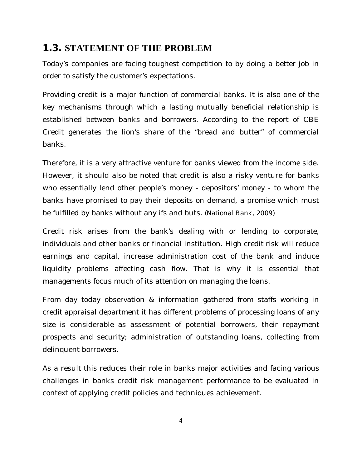# **1.3. STATEMENT OF THE PROBLEM**

Today's companies are facing toughest competition to by doing a better job in order to satisfy the customer's expectations.

Providing credit is a major function of commercial banks. It is also one of the key mechanisms through which a lasting mutually beneficial relationship is established between banks and borrowers. According to the report of CBE Credit generates the lion's share of the "bread and butter" of commercial banks.

Therefore, it is a very attractive venture for banks viewed from the income side. However, it should also be noted that credit is also a risky venture for banks who essentially lend other people's money - depositors' money - to whom the banks have promised to pay their deposits on demand, a promise which must be fulfilled by banks without any ifs and buts. (National Bank, 2009)

Credit risk arises from the bank's dealing with or lending to corporate, individuals and other banks or financial institution. High credit risk will reduce earnings and capital, increase administration cost of the bank and induce liquidity problems affecting cash flow. That is why it is essential that managements focus much of its attention on managing the loans.

From day today observation & information gathered from staffs working in credit appraisal department it has different problems of processing loans of any size is considerable as assessment of potential borrowers, their repayment prospects and security; administration of outstanding loans, collecting from delinquent borrowers.

As a result this reduces their role in banks major activities and facing various challenges in banks credit risk management performance to be evaluated in context of applying credit policies and techniques achievement.

4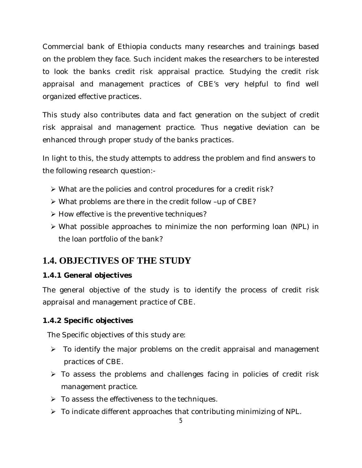Commercial bank of Ethiopia conducts many researches and trainings based on the problem they face. Such incident makes the researchers to be interested to look the banks credit risk appraisal practice. Studying the credit risk appraisal and management practices of CBE's very helpful to find well organized effective practices.

This study also contributes data and fact generation on the subject of credit risk appraisal and management practice. Thus negative deviation can be enhanced through proper study of the banks practices.

In light to this, the study attempts to address the problem and find answers to the following research question:-

- What are the policies and control procedures for a credit risk?
- What problems are there in the credit follow –up of CBE?
- $\triangleright$  How effective is the preventive techniques?
- What possible approaches to minimize the non performing loan (NPL) in the loan portfolio of the bank?

# **1.4. OBJECTIVES OF THE STUDY**

#### **1.4.1 General objectives**

The general objective of the study is to identify the process of credit risk appraisal and management practice of CBE.

#### **1.4.2 Specific objectives**

The Specific objectives of this study are:

- $\triangleright$  To identify the major problems on the credit appraisal and management practices of CBE.
- $\triangleright$  To assess the problems and challenges facing in policies of credit risk management practice.
- $\triangleright$  To assess the effectiveness to the techniques.
- $\triangleright$  To indicate different approaches that contributing minimizing of NPL.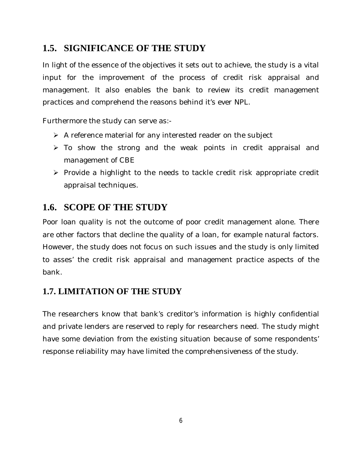# **1.5. SIGNIFICANCE OF THE STUDY**

In light of the essence of the objectives it sets out to achieve, the study is a vital input for the improvement of the process of credit risk appraisal and management. It also enables the bank to review its credit management practices and comprehend the reasons behind it's ever NPL.

Furthermore the study can serve as:-

- $\triangleright$  A reference material for any interested reader on the subject
- $\triangleright$  To show the strong and the weak points in credit appraisal and management of CBE
- $\triangleright$  Provide a highlight to the needs to tackle credit risk appropriate credit appraisal techniques.

# **1.6. SCOPE OF THE STUDY**

Poor loan quality is not the outcome of poor credit management alone. There are other factors that decline the quality of a loan, for example natural factors. However, the study does not focus on such issues and the study is only limited to asses' the credit risk appraisal and management practice aspects of the bank.

# **1.7. LIMITATION OF THE STUDY**

The researchers know that bank's creditor's information is highly confidential and private lenders are reserved to reply for researchers need. The study might have some deviation from the existing situation because of some respondents' response reliability may have limited the comprehensiveness of the study.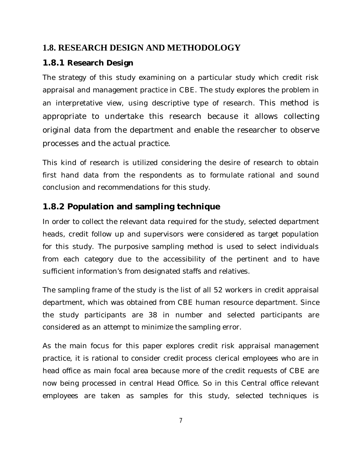# **1.8. RESEARCH DESIGN AND METHODOLOGY**

## **1.8.1 Research Design**

The strategy of this study examining on a particular study which credit risk appraisal and management practice in CBE. The study explores the problem in an interpretative view, using descriptive type of research. This method is appropriate to undertake this research because it allows collecting original data from the department and enable the researcher to observe processes and the actual practice.

This kind of research is utilized considering the desire of research to obtain first hand data from the respondents as to formulate rational and sound conclusion and recommendations for this study.

# **1.8.2 Population and sampling technique**

In order to collect the relevant data required for the study, selected department heads, credit follow up and supervisors were considered as target population for this study. The purposive sampling method is used to select individuals from each category due to the accessibility of the pertinent and to have sufficient information's from designated staffs and relatives.

The sampling frame of the study is the list of all 52 workers in credit appraisal department, which was obtained from CBE human resource department. Since the study participants are 38 in number and selected participants are considered as an attempt to minimize the sampling error.

As the main focus for this paper explores credit risk appraisal management practice, it is rational to consider credit process clerical employees who are in head office as main focal area because more of the credit requests of CBE are now being processed in central Head Office. So in this Central office relevant employees are taken as samples for this study, selected techniques is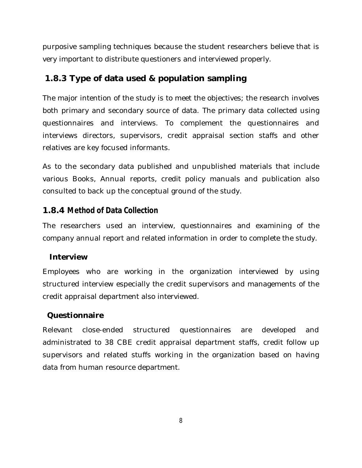purposive sampling techniques because the student researchers believe that is very important to distribute questioners and interviewed properly.

### **1.8.3 Type of data used & population sampling**

The major intention of the study is to meet the objectives; the research involves both primary and secondary source of data. The primary data collected using questionnaires and interviews. To complement the questionnaires and interviews directors, supervisors, credit appraisal section staffs and other relatives are key focused informants.

As to the secondary data published and unpublished materials that include various Books, Annual reports, credit policy manuals and publication also consulted to back up the conceptual ground of the study.

#### **1.8.4 Method of Data Collection**

The researchers used an interview, questionnaires and examining of the company annual report and related information in order to complete the study.

#### **Interview**

Employees who are working in the organization interviewed by using structured interview especially the credit supervisors and managements of the credit appraisal department also interviewed.

#### **Questionnaire**

Relevant close-ended structured questionnaires are developed and administrated to 38 CBE credit appraisal department staffs, credit follow up supervisors and related stuffs working in the organization based on having data from human resource department.

8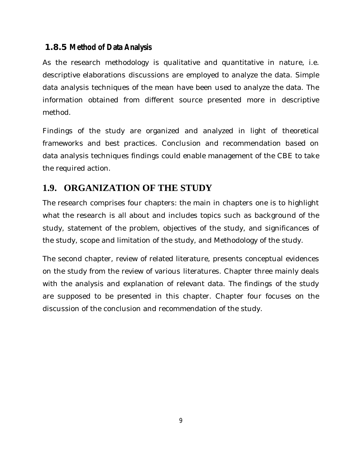#### **1.8.5 Method of Data Analysis**

As the research methodology is qualitative and quantitative in nature, i.e. descriptive elaborations discussions are employed to analyze the data. Simple data analysis techniques of the mean have been used to analyze the data. The information obtained from different source presented more in descriptive method.

Findings of the study are organized and analyzed in light of theoretical frameworks and best practices. Conclusion and recommendation based on data analysis techniques findings could enable management of the CBE to take the required action.

# **1.9. ORGANIZATION OF THE STUDY**

The research comprises four chapters: the main in chapters one is to highlight what the research is all about and includes topics such as background of the study, statement of the problem, objectives of the study, and significances of the study, scope and limitation of the study, and Methodology of the study.

The second chapter, review of related literature, presents conceptual evidences on the study from the review of various literatures. Chapter three mainly deals with the analysis and explanation of relevant data. The findings of the study are supposed to be presented in this chapter. Chapter four focuses on the discussion of the conclusion and recommendation of the study.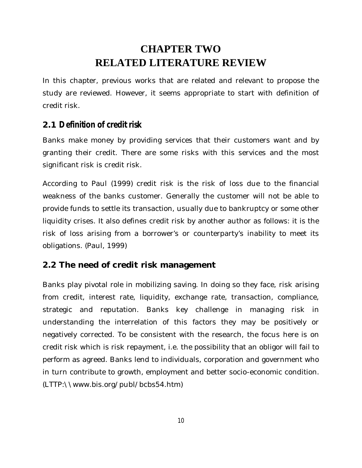# **CHAPTER TWO RELATED LITERATURE REVIEW**

In this chapter, previous works that are related and relevant to propose the study are reviewed. However, it seems appropriate to start with definition of credit risk.

## **2.1 Definition of credit risk**

Banks make money by providing services that their customers want and by granting their credit. There are some risks with this services and the most significant risk is credit risk.

According to Paul (1999) credit risk is the risk of loss due to the financial weakness of the banks customer. Generally the customer will not be able to provide funds to settle its transaction, usually due to bankruptcy or some other liquidity crises. It also defines credit risk by another author as follows: it is the risk of loss arising from a borrower's or counterparty's inability to meet its obligations. (Paul, 1999)

#### **2.2 The need of credit risk management**

Banks play pivotal role in mobilizing saving. In doing so they face, risk arising from credit, interest rate, liquidity, exchange rate, transaction, compliance, strategic and reputation. Banks key challenge in managing risk in understanding the interrelation of this factors they may be positively or negatively corrected. To be consistent with the research, the focus here is on credit risk which is risk repayment, i.e. the possibility that an obligor will fail to perform as agreed. Banks lend to individuals, corporation and government who in turn contribute to growth, employment and better socio-economic condition. (LTTP:\\www.bis.org/publ/bcbs54.htm)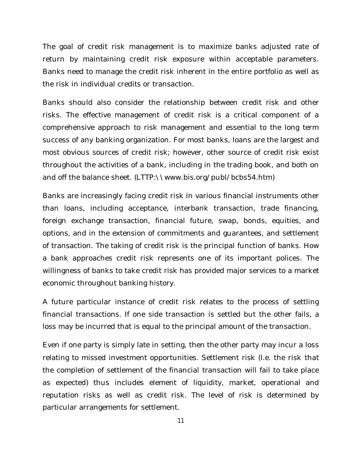The goal of credit risk management is to maximize banks adjusted rate of return by maintaining credit risk exposure within acceptable parameters. Banks need to manage the credit risk inherent in the entire portfolio as well as the risk in individual credits or transaction.

Banks should also consider the relationship between credit risk and other risks. The effective management of credit risk is a critical component of a comprehensive approach to risk management and essential to the long term success of any banking organization. For most banks, loans are the largest and most obvious sources of credit risk; however, other source of credit risk exist throughout the activities of a bank, including in the trading book, and both on and off the balance sheet. (LTTP:\\www.bis.org/publ/bcbs54.htm)

Banks are increasingly facing credit risk in various financial instruments other than loans, including acceptance, interbank transaction, trade financing, foreign exchange transaction, financial future, swap, bonds, equities, and options, and in the extension of commitments and guarantees, and settlement of transaction. The taking of credit risk is the principal function of banks. How a bank approaches credit risk represents one of its important polices. The willingness of banks to take credit risk has provided major services to a market economic throughout banking history.

A future particular instance of credit risk relates to the process of settling financial transactions. If one side transaction is settled but the other fails, a loss may be incurred that is equal to the principal amount of the transaction.

Even if one party is simply late in setting, then the other party may incur a loss relating to missed investment opportunities. Settlement risk (I.e. the risk that the completion of settlement of the financial transaction will fail to take place as expected) thus includes element of liquidity, market, operational and reputation risks as well as credit risk. The level of risk is determined by particular arrangements for settlement.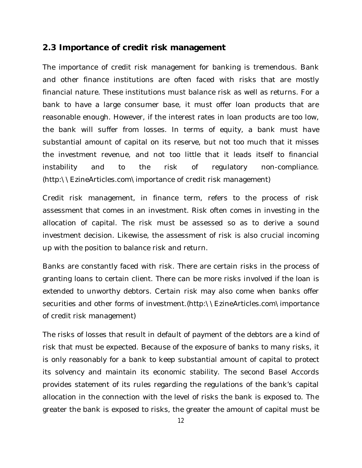#### **2.3 Importance of credit risk management**

The importance of credit risk management for banking is tremendous. Bank and other finance institutions are often faced with risks that are mostly financial nature. These institutions must balance risk as well as returns. For a bank to have a large consumer base, it must offer loan products that are reasonable enough. However, if the interest rates in loan products are too low, the bank will suffer from losses. In terms of equity, a bank must have substantial amount of capital on its reserve, but not too much that it misses the investment revenue, and not too little that it leads itself to financial instability and to the risk of regulatory non-compliance. (http:\\EzineArticles.com\importance of credit risk management)

Credit risk management, in finance term, refers to the process of risk assessment that comes in an investment. Risk often comes in investing in the allocation of capital. The risk must be assessed so as to derive a sound investment decision. Likewise, the assessment of risk is also crucial incoming up with the position to balance risk and return.

Banks are constantly faced with risk. There are certain risks in the process of granting loans to certain client. There can be more risks involved if the loan is extended to unworthy debtors. Certain risk may also come when banks offer securities and other forms of investment.(http:\\EzineArticles.com\importance of credit risk management)

The risks of losses that result in default of payment of the debtors are a kind of risk that must be expected. Because of the exposure of banks to many risks, it is only reasonably for a bank to keep substantial amount of capital to protect its solvency and maintain its economic stability. The second Basel Accords provides statement of its rules regarding the regulations of the bank's capital allocation in the connection with the level of risks the bank is exposed to. The greater the bank is exposed to risks, the greater the amount of capital must be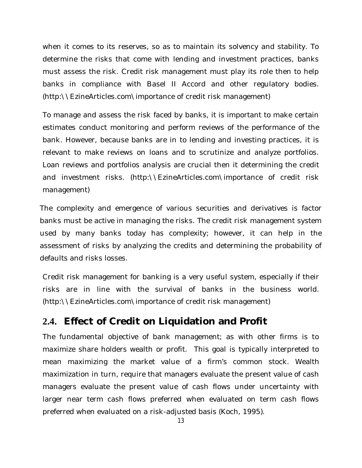when it comes to its reserves, so as to maintain its solvency and stability. To determine the risks that come with lending and investment practices, banks must assess the risk. Credit risk management must play its role then to help banks in compliance with Basel II Accord and other regulatory bodies. (http:\\EzineArticles.com\importance of credit risk management)

To manage and assess the risk faced by banks, it is important to make certain estimates conduct monitoring and perform reviews of the performance of the bank. However, because banks are in to lending and investing practices, it is relevant to make reviews on loans and to scrutinize and analyze portfolios. Loan reviews and portfolios analysis are crucial then it determining the credit and investment risks. (http:\\EzineArticles.com\importance of credit risk management)

The complexity and emergence of various securities and derivatives is factor banks must be active in managing the risks. The credit risk management system used by many banks today has complexity; however, it can help in the assessment of risks by analyzing the credits and determining the probability of defaults and risks losses.

Credit risk management for banking is a very useful system, especially if their risks are in line with the survival of banks in the business world. (http:\\EzineArticles.com\importance of credit risk management)

# **2.4. Effect of Credit on Liquidation and Profit**

The fundamental objective of bank management; as with other firms is to maximize share holders wealth or profit. This goal is typically interpreted to mean maximizing the market value of a firm's common stock. Wealth maximization in turn, require that managers evaluate the present value of cash managers evaluate the present value of cash flows under uncertainty with larger near term cash flows preferred when evaluated on term cash flows preferred when evaluated on a risk-adjusted basis (Koch, 1995).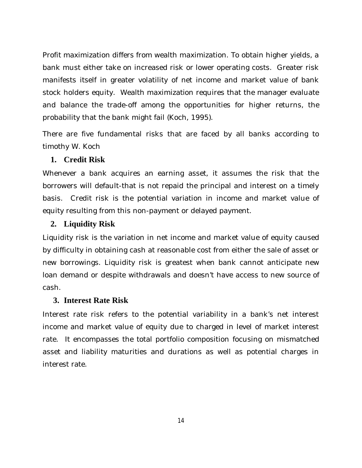Profit maximization differs from wealth maximization. To obtain higher yields, a bank must either take on increased risk or lower operating costs. Greater risk manifests itself in greater volatility of net income and market value of bank stock holders equity. Wealth maximization requires that the manager evaluate and balance the trade-off among the opportunities for higher returns, the probability that the bank might fail (Koch, 1995).

There are five fundamental risks that are faced by all banks according to timothy W. Koch

#### **1. Credit Risk**

Whenever a bank acquires an earning asset, it assumes the risk that the borrowers will default-that is not repaid the principal and interest on a timely basis. Credit risk is the potential variation in income and market value of equity resulting from this non-payment or delayed payment.

#### **2. Liquidity Risk**

Liquidity risk is the variation in net income and market value of equity caused by difficulty in obtaining cash at reasonable cost from either the sale of asset or new borrowings. Liquidity risk is greatest when bank cannot anticipate new loan demand or despite withdrawals and doesn't have access to new source of cash.

#### **3. Interest Rate Risk**

Interest rate risk refers to the potential variability in a bank's net interest income and market value of equity due to charged in level of market interest rate. It encompasses the total portfolio composition focusing on mismatched asset and liability maturities and durations as well as potential charges in interest rate.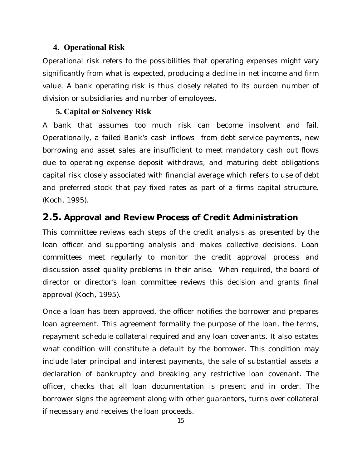#### **4. Operational Risk**

Operational risk refers to the possibilities that operating expenses might vary significantly from what is expected, producing a decline in net income and firm value. A bank operating risk is thus closely related to its burden number of division or subsidiaries and number of employees.

#### **5. Capital or Solvency Risk**

A bank that assumes too much risk can become insolvent and fail. Operationally, a failed Bank's cash inflows from debt service payments, new borrowing and asset sales are insufficient to meet mandatory cash out flows due to operating expense deposit withdraws, and maturing debt obligations capital risk closely associated with financial average which refers to use of debt and preferred stock that pay fixed rates as part of a firms capital structure. (Koch, 1995).

#### **2.5. Approval and Review Process of Credit Administration**

This committee reviews each steps of the credit analysis as presented by the loan officer and supporting analysis and makes collective decisions. Loan committees meet regularly to monitor the credit approval process and discussion asset quality problems in their arise. When required, the board of director or director's loan committee reviews this decision and grants final approval (Koch, 1995).

Once a loan has been approved, the officer notifies the borrower and prepares loan agreement. This agreement formality the purpose of the loan, the terms, repayment schedule collateral required and any loan covenants. It also estates what condition will constitute a default by the borrower. This condition may include later principal and interest payments, the sale of substantial assets a declaration of bankruptcy and breaking any restrictive loan covenant. The officer, checks that all loan documentation is present and in order. The borrower signs the agreement along with other guarantors, turns over collateral if necessary and receives the loan proceeds.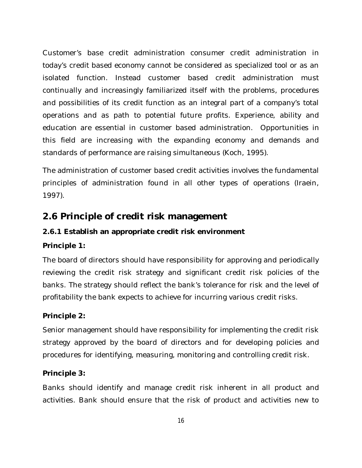Customer's base credit administration consumer credit administration in today's credit based economy cannot be considered as specialized tool or as an isolated function. Instead customer based credit administration must continually and increasingly familiarized itself with the problems, procedures and possibilities of its credit function as an integral part of a company's total operations and as path to potential future profits. Experience, ability and education are essential in customer based administration. Opportunities in this field are increasing with the expanding economy and demands and standards of performance are raising simultaneous (Koch, 1995).

The administration of customer based credit activities involves the fundamental principles of administration found in all other types of operations (Iraein, 1997).

# **2.6 Principle of credit risk management**

#### **2.6.1 Establish an appropriate credit risk environment**

#### **Principle 1:**

The board of directors should have responsibility for approving and periodically reviewing the credit risk strategy and significant credit risk policies of the banks. The strategy should reflect the bank's tolerance for risk and the level of profitability the bank expects to achieve for incurring various credit risks.

#### **Principle 2:**

Senior management should have responsibility for implementing the credit risk strategy approved by the board of directors and for developing policies and procedures for identifying, measuring, monitoring and controlling credit risk.

#### **Principle 3:**

Banks should identify and manage credit risk inherent in all product and activities. Bank should ensure that the risk of product and activities new to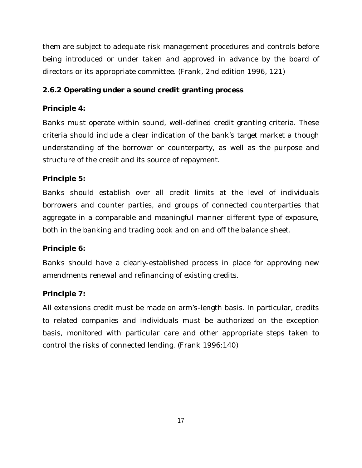them are subject to adequate risk management procedures and controls before being introduced or under taken and approved in advance by the board of directors or its appropriate committee. (Frank, 2nd edition 1996, 121)

#### **2.6.2 Operating under a sound credit granting process**

#### **Principle 4:**

Banks must operate within sound, well-defined credit granting criteria. These criteria should include a clear indication of the bank's target market a though understanding of the borrower or counterparty, as well as the purpose and structure of the credit and its source of repayment.

#### **Principle 5:**

Banks should establish over all credit limits at the level of individuals borrowers and counter parties, and groups of connected counterparties that aggregate in a comparable and meaningful manner different type of exposure, both in the banking and trading book and on and off the balance sheet.

#### **Principle 6:**

Banks should have a clearly-established process in place for approving new amendments renewal and refinancing of existing credits.

#### **Principle 7:**

All extensions credit must be made on arm's-length basis. In particular, credits to related companies and individuals must be authorized on the exception basis, monitored with particular care and other appropriate steps taken to control the risks of connected lending. (Frank 1996:140)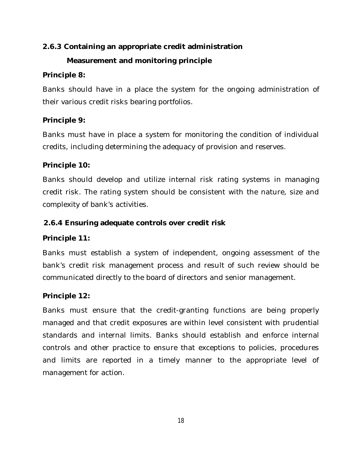#### **2.6.3 Containing an appropriate credit administration**

#### **Measurement and monitoring principle**

#### **Principle 8:**

Banks should have in a place the system for the ongoing administration of their various credit risks bearing portfolios.

#### **Principle 9:**

Banks must have in place a system for monitoring the condition of individual credits, including determining the adequacy of provision and reserves.

#### **Principle 10:**

Banks should develop and utilize internal risk rating systems in managing credit risk. The rating system should be consistent with the nature, size and complexity of bank's activities.

#### **\\ \2.6.4 Ensuring adequate controls over credit risk**

#### **Principle 11:**

Banks must establish a system of independent, ongoing assessment of the bank's credit risk management process and result of such review should be communicated directly to the board of directors and senior management.

#### **Principle 12:**

Banks must ensure that the credit-granting functions are being properly managed and that credit exposures are within level consistent with prudential standards and internal limits. Banks should establish and enforce internal controls and other practice to ensure that exceptions to policies, procedures and limits are reported in a timely manner to the appropriate level of management for action.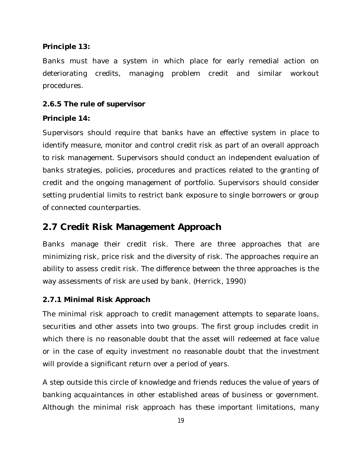#### **Principle 13:**

Banks must have a system in which place for early remedial action on deteriorating credits, managing problem credit and similar workout procedures.

#### **2.6.5 The rule of supervisor**

#### **Principle 14:**

Supervisors should require that banks have an effective system in place to identify measure, monitor and control credit risk as part of an overall approach to risk management. Supervisors should conduct an independent evaluation of banks strategies, policies, procedures and practices related to the granting of credit and the ongoing management of portfolio. Supervisors should consider setting prudential limits to restrict bank exposure to single borrowers or group of connected counterparties.

### **2.7 Credit Risk Management Approach**

Banks manage their credit risk. There are three approaches that are minimizing risk, price risk and the diversity of risk. The approaches require an ability to assess credit risk. The difference between the three approaches is the way assessments of risk are used by bank. (Herrick, 1990)

#### **2.7.1 Minimal Risk Approach**

The minimal risk approach to credit management attempts to separate loans, securities and other assets into two groups. The first group includes credit in which there is no reasonable doubt that the asset will redeemed at face value or in the case of equity investment no reasonable doubt that the investment will provide a significant return over a period of years.

A step outside this circle of knowledge and friends reduces the value of years of banking acquaintances in other established areas of business or government. Although the minimal risk approach has these important limitations, many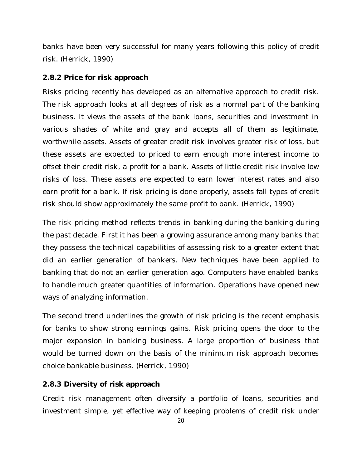banks have been very successful for many years following this policy of credit risk. (Herrick, 1990)

#### **2.8.2 Price for risk approach**

Risks pricing recently has developed as an alternative approach to credit risk. The risk approach looks at all degrees of risk as a normal part of the banking business. It views the assets of the bank loans, securities and investment in various shades of white and gray and accepts all of them as legitimate, worthwhile assets. Assets of greater credit risk involves greater risk of loss, but these assets are expected to priced to earn enough more interest income to offset their credit risk, a profit for a bank. Assets of little credit risk involve low risks of loss. These assets are expected to earn lower interest rates and also earn profit for a bank. If risk pricing is done properly, assets fall types of credit risk should show approximately the same profit to bank. (Herrick, 1990)

The risk pricing method reflects trends in banking during the banking during the past decade. First it has been a growing assurance among many banks that they possess the technical capabilities of assessing risk to a greater extent that did an earlier generation of bankers. New techniques have been applied to banking that do not an earlier generation ago. Computers have enabled banks to handle much greater quantities of information. Operations have opened new ways of analyzing information.

The second trend underlines the growth of risk pricing is the recent emphasis for banks to show strong earnings gains. Risk pricing opens the door to the major expansion in banking business. A large proportion of business that would be turned down on the basis of the minimum risk approach becomes choice bankable business. (Herrick, 1990)

#### **2.8.3 Diversity of risk approach**

Credit risk management often diversify a portfolio of loans, securities and investment simple, yet effective way of keeping problems of credit risk under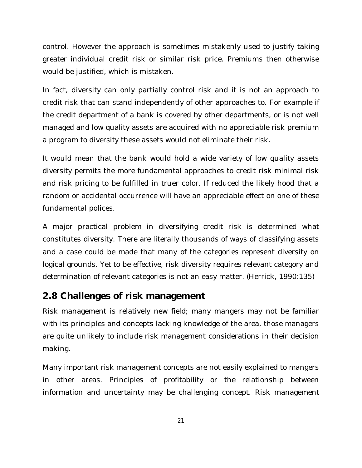control. However the approach is sometimes mistakenly used to justify taking greater individual credit risk or similar risk price. Premiums then otherwise would be justified, which is mistaken.

In fact, diversity can only partially control risk and it is not an approach to credit risk that can stand independently of other approaches to. For example if the credit department of a bank is covered by other departments, or is not well managed and low quality assets are acquired with no appreciable risk premium a program to diversity these assets would not eliminate their risk.

It would mean that the bank would hold a wide variety of low quality assets diversity permits the more fundamental approaches to credit risk minimal risk and risk pricing to be fulfilled in truer color. If reduced the likely hood that a random or accidental occurrence will have an appreciable effect on one of these fundamental polices.

A major practical problem in diversifying credit risk is determined what constitutes diversity. There are literally thousands of ways of classifying assets and a case could be made that many of the categories represent diversity on logical grounds. Yet to be effective, risk diversity requires relevant category and determination of relevant categories is not an easy matter. (Herrick, 1990:135)

# **2.8 Challenges of risk management**

Risk management is relatively new field; many mangers may not be familiar with its principles and concepts lacking knowledge of the area, those managers are quite unlikely to include risk management considerations in their decision making.

Many important risk management concepts are not easily explained to mangers in other areas. Principles of profitability or the relationship between information and uncertainty may be challenging concept. Risk management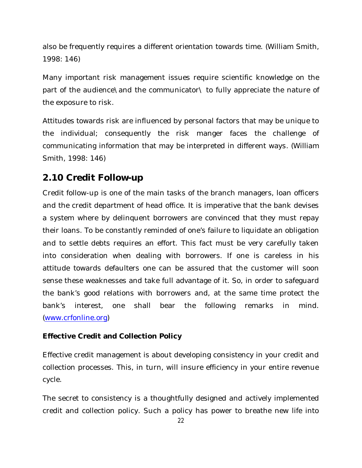also be frequently requires a different orientation towards time. (William Smith, 1998: 146)

Many important risk management issues require scientific knowledge on the part of the audience\and the communicator\ to fully appreciate the nature of the exposure to risk.

Attitudes towards risk are influenced by personal factors that may be unique to the individual; consequently the risk manger faces the challenge of communicating information that may be interpreted in different ways. (William Smith, 1998: 146)

# **2.10 Credit Follow-up**

Credit follow-up is one of the main tasks of the branch managers, loan officers and the credit department of head office. It is imperative that the bank devises a system where by delinquent borrowers are convinced that they must repay their loans. To be constantly reminded of one's failure to liquidate an obligation and to settle debts requires an effort. This fact must be very carefully taken into consideration when dealing with borrowers. If one is careless in his attitude towards defaulters one can be assured that the customer will soon sense these weaknesses and take full advantage of it. So, in order to safeguard the bank's good relations with borrowers and, at the same time protect the bank's interest, one shall bear the following remarks in mind. (www.crfonline.org)

#### **Effective Credit and Collection Policy**

Effective credit management is about developing consistency in your credit and collection processes. This, in turn, will insure efficiency in your entire revenue cycle.

The secret to consistency is a thoughtfully designed and actively implemented credit and collection policy. Such a policy has power to breathe new life into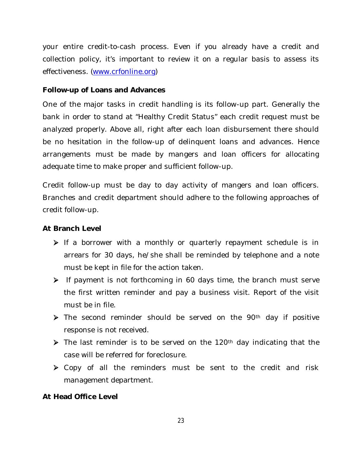your entire credit-to-cash process. Even if you already have a credit and collection policy, it's important to review it on a regular basis to assess its effectiveness. (www.crfonline.org)

#### **Follow-up of Loans and Advances**

One of the major tasks in credit handling is its follow-up part. Generally the bank in order to stand at "Healthy Credit Status" each credit request must be analyzed properly. Above all, right after each loan disbursement there should be no hesitation in the follow-up of delinquent loans and advances. Hence arrangements must be made by mangers and loan officers for allocating adequate time to make proper and sufficient follow-up.

Credit follow-up must be day to day activity of mangers and loan officers. Branches and credit department should adhere to the following approaches of credit follow-up.

#### **At Branch Level**

- $\triangleright$  If a borrower with a monthly or quarterly repayment schedule is in arrears for 30 days, he/she shall be reminded by telephone and a note must be kept in file for the action taken.
- $\triangleright$  If payment is not forthcoming in 60 days time, the branch must serve the first written reminder and pay a business visit. Report of the visit must be in file.
- $\triangleright$  The second reminder should be served on the 90<sup>th</sup> day if positive response is not received.
- $\triangleright$  The last reminder is to be served on the 120<sup>th</sup> day indicating that the case will be referred for foreclosure.
- ▶ Copy of all the reminders must be sent to the credit and risk management department.

#### **At Head Office Level**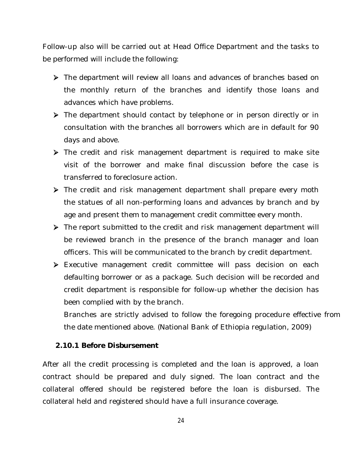Follow-up also will be carried out at Head Office Department and the tasks to be performed will include the following:

- The department will review all loans and advances of branches based on the monthly return of the branches and identify those loans and advances which have problems.
- The department should contact by telephone or in person directly or in consultation with the branches all borrowers which are in default for 90 days and above.
- **EX** The credit and risk management department is required to make site visit of the borrower and make final discussion before the case is transferred to foreclosure action.
- The credit and risk management department shall prepare every moth the statues of all non-performing loans and advances by branch and by age and present them to management credit committee every month.
- The report submitted to the credit and risk management department will be reviewed branch in the presence of the branch manager and loan officers. This will be communicated to the branch by credit department.
- Executive management credit committee will pass decision on each defaulting borrower or as a package. Such decision will be recorded and credit department is responsible for follow-up whether the decision has been complied with by the branch.

Branches are strictly advised to follow the foregoing procedure effective from the date mentioned above. (National Bank of Ethiopia regulation, 2009)

#### **2.10.1 Before Disbursement**

After all the credit processing is completed and the loan is approved, a loan contract should be prepared and duly signed. The loan contract and the collateral offered should be registered before the loan is disbursed. The collateral held and registered should have a full insurance coverage.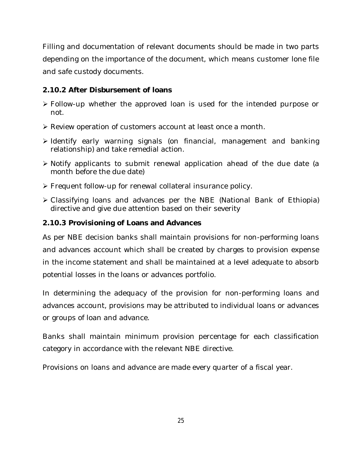Filling and documentation of relevant documents should be made in two parts depending on the importance of the document, which means customer lone file and safe custody documents.

#### **2.10.2 After Disbursement of loans**

- Follow-up whether the approved loan is used for the intended purpose or not.
- Review operation of customers account at least once a month.
- > Identify early warning signals (on financial, management and banking relationship) and take remedial action.
- Notify applicants to submit renewal application ahead of the due date (a month before the due date)
- Frequent follow-up for renewal collateral insurance policy.
- Classifying loans and advances per the NBE (National Bank of Ethiopia) directive and give due attention based on their severity

#### **2.10.3 Provisioning of Loans and Advances**

As per NBE decision banks shall maintain provisions for non-performing loans and advances account which shall be created by charges to provision expense in the income statement and shall be maintained at a level adequate to absorb potential losses in the loans or advances portfolio.

In determining the adequacy of the provision for non-performing loans and advances account, provisions may be attributed to individual loans or advances or groups of loan and advance.

Banks shall maintain minimum provision percentage for each classification category in accordance with the relevant NBE directive.

Provisions on loans and advance are made every quarter of a fiscal year.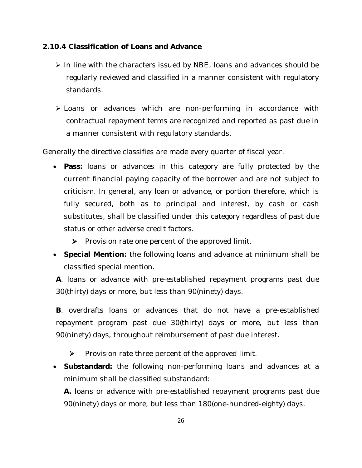#### **2.10.4 Classification of Loans and Advance**

- $\triangleright$  In line with the characters issued by NBE, loans and advances should be regularly reviewed and classified in a manner consistent with regulatory standards.
- Exercise or advances which are non-performing in accordance with contractual repayment terms are recognized and reported as past due in a manner consistent with regulatory standards.

Generally the directive classifies are made every quarter of fiscal year.

- **Pass:** loans or advances in this category are fully protected by the current financial paying capacity of the borrower and are not subject to criticism. In general, any loan or advance, or portion therefore, which is fully secured, both as to principal and interest, by cash or cash substitutes, shall be classified under this category regardless of past due status or other adverse credit factors.
	- $\triangleright$  Provision rate one percent of the approved limit.
- **Special Mention:** the following loans and advance at minimum shall be classified special mention.

**A**. loans or advance with pre-established repayment programs past due 30(thirty) days or more, but less than 90(ninety) days.

**B**. overdrafts loans or advances that do not have a pre-established repayment program past due 30(thirty) days or more, but less than 90(ninety) days, throughout reimbursement of past due interest.

 $\triangleright$  Provision rate three percent of the approved limit.

 **Substandard:** the following non-performing loans and advances at a minimum shall be classified substandard:

**A.** loans or advance with pre-established repayment programs past due 90(ninety) days or more, but less than 180(one-hundred-eighty) days.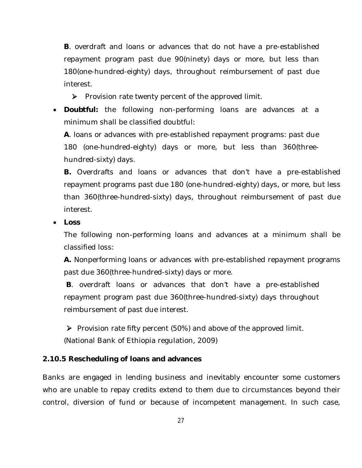**B**. overdraft and loans or advances that do not have a pre-established repayment program past due 90(ninety) days or more, but less than 180(one-hundred-eighty) days, throughout reimbursement of past due interest.

 $\triangleright$  Provision rate twenty percent of the approved limit.

 **Doubtful:** the following non-performing loans are advances at a minimum shall be classified doubtful:

**A**. loans or advances with pre-established repayment programs: past due 180 (one-hundred-eighty) days or more, but less than 360(threehundred-sixty) days.

**B.** Overdrafts and loans or advances that don't have a pre-established repayment programs past due 180 (one-hundred-eighty) days, or more, but less than 360(three-hundred-sixty) days, throughout reimbursement of past due interest.

**Loss** 

The following non-performing loans and advances at a minimum shall be classified loss:

**A.** Nonperforming loans or advances with pre-established repayment programs past due 360(three-hundred-sixty) days or more.

**B**. overdraft loans or advances that don't have a pre-established repayment program past due 360(three-hundred-sixty) days throughout reimbursement of past due interest.

Provision rate fifty percent (50%) and above of the approved limit. (National Bank of Ethiopia regulation, 2009)

#### **2.10.5 Rescheduling of loans and advances**

Banks are engaged in lending business and inevitably encounter some customers who are unable to repay credits extend to them due to circumstances beyond their control, diversion of fund or because of incompetent management. In such case,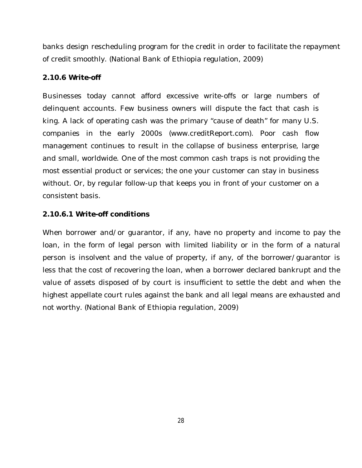banks design rescheduling program for the credit in order to facilitate the repayment of credit smoothly. (National Bank of Ethiopia regulation, 2009)

#### **2.10.6 Write-off**

Businesses today cannot afford excessive write-offs or large numbers of delinquent accounts. Few business owners will dispute the fact that cash is king. A lack of operating cash was the primary "cause of death" for many U.S. companies in the early 2000s (www.creditReport.com). Poor cash flow management continues to result in the collapse of business enterprise, large and small, worldwide. One of the most common cash traps is not providing the most essential product or services; the one your customer can stay in business without. Or, by regular follow-up that keeps you in front of your customer on a consistent basis.

#### **2.10.6.1 Write-off conditions**

When borrower and/or guarantor, if any, have no property and income to pay the loan, in the form of legal person with limited liability or in the form of a natural person is insolvent and the value of property, if any, of the borrower/guarantor is less that the cost of recovering the loan, when a borrower declared bankrupt and the value of assets disposed of by court is insufficient to settle the debt and when the highest appellate court rules against the bank and all legal means are exhausted and not worthy. (National Bank of Ethiopia regulation, 2009)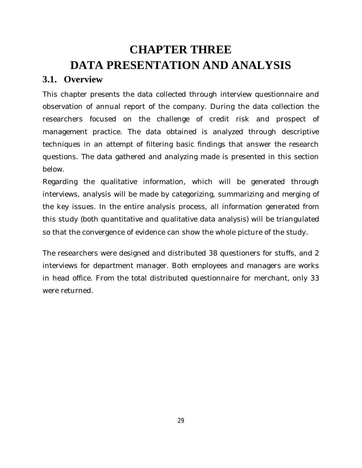# **CHAPTER THREE DATA PRESENTATION AND ANALYSIS**

# **3.1. Overview**

This chapter presents the data collected through interview questionnaire and observation of annual report of the company. During the data collection the researchers focused on the challenge of credit risk and prospect of management practice. The data obtained is analyzed through descriptive techniques in an attempt of filtering basic findings that answer the research questions. The data gathered and analyzing made is presented in this section below.

Regarding the qualitative information, which will be generated through interviews, analysis will be made by categorizing, summarizing and merging of the key issues. In the entire analysis process, all information generated from this study (both quantitative and qualitative data analysis) will be triangulated so that the convergence of evidence can show the whole picture of the study.

The researchers were designed and distributed 38 questioners for stuffs, and 2 interviews for department manager. Both employees and managers are works in head office. From the total distributed questionnaire for merchant, only 33 were returned.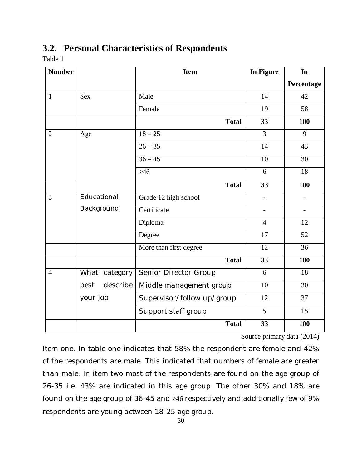### **3.2. Personal Characteristics of Respondents**

Table 1

| <b>Number</b>  |                  | <b>Item</b>                | In Figure      | In                       |
|----------------|------------------|----------------------------|----------------|--------------------------|
|                |                  |                            |                | Percentage               |
| $\mathbf{1}$   | <b>Sex</b>       | Male                       | 14             | 42                       |
|                |                  | Female                     | 19             | 58                       |
|                |                  | <b>Total</b>               | 33             | 100                      |
| $\overline{2}$ | Age              | $18 - 25$                  | $\overline{3}$ | 9                        |
|                |                  | $26 - 35$                  | 14             | 43                       |
|                |                  | $36 - 45$                  | 10             | 30                       |
|                |                  | $\geq 46$                  | 6              | 18                       |
|                |                  | <b>Total</b>               | 33             | 100                      |
| 3              | Educational      | Grade 12 high school       |                |                          |
|                | Background       | Certificate                | $\blacksquare$ | $\overline{\phantom{a}}$ |
|                |                  | Diploma                    | $\overline{4}$ | 12                       |
|                |                  | Degree                     | 17             | 52                       |
|                |                  | More than first degree     | 12             | 36                       |
|                |                  | <b>Total</b>               | 33             | 100                      |
| $\overline{4}$ | What category    | Senior Director Group      | 6              | 18                       |
|                | describe<br>best | Middle management group    | 10             | 30                       |
|                | your job         | Supervisor/follow up/group | 12             | 37                       |
|                |                  | Support staff group        | 5              | 15                       |
|                |                  | <b>Total</b>               | 33             | 100                      |

Source primary data (2014)

Item one. In table one indicates that 58% the respondent are female and 42% of the respondents are male. This indicated that numbers of female are greater than male. In item two most of the respondents are found on the age group of 26-35 i.e. 43% are indicated in this age group. The other 30% and 18% are found on the age group of 36-45 and  $\geq$ 46 respectively and additionally few of 9% respondents are young between 18-25 age group.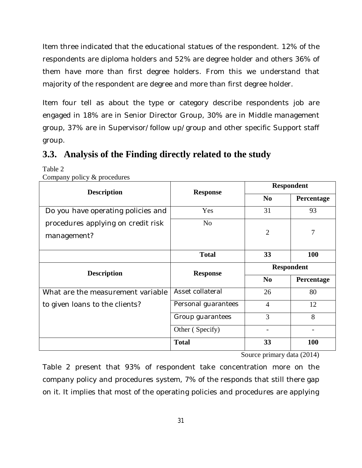Item three indicated that the educational statues of the respondent. 12% of the respondents are diploma holders and 52% are degree holder and others 36% of them have more than first degree holders. From this we understand that majority of the respondent are degree and more than first degree holder.

Item four tell as about the type or category describe respondents job are engaged in 18% are in Senior Director Group, 30% are in Middle management group, 37% are in Supervisor/follow up/group and other specific Support staff group.

# **3.3. Analysis of the Finding directly related to the study**

Table 2

| <b>Description</b>                 | <b>Response</b>     | <b>Respondent</b> |            |
|------------------------------------|---------------------|-------------------|------------|
|                                    |                     | N <sub>0</sub>    | Percentage |
| Do you have operating policies and | Yes                 | 31                | 93         |
| procedures applying on credit risk | N <sub>o</sub>      |                   |            |
| management?                        |                     | $\overline{2}$    | 7          |
|                                    | <b>Total</b>        | 33                | <b>100</b> |
| <b>Description</b>                 | <b>Response</b>     |                   | Respondent |
|                                    |                     | N <sub>0</sub>    | Percentage |
| What are the measurement variable  | Asset collateral    | 26                | 80         |
| to given loans to the clients?     | Personal guarantees | $\overline{4}$    | 12         |
|                                    | Group guarantees    | 3                 | 8          |
|                                    | Other (Specify)     |                   |            |
|                                    | <b>Total</b>        | 33                | <b>100</b> |

Company policy & procedures

Source primary data (2014)

Table 2 present that 93% of respondent take concentration more on the company policy and procedures system, 7% of the responds that still there gap on it. It implies that most of the operating policies and procedures are applying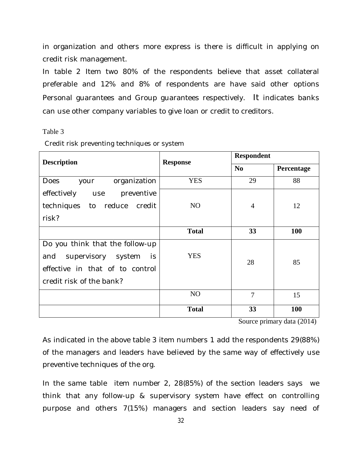in organization and others more express is there is difficult in applying on credit risk management.

In table 2 Item two 80% of the respondents believe that asset collateral preferable and 12% and 8% of respondents are have said other options Personal guarantees and Group guarantees respectively. It indicates banks can use other company variables to give loan or credit to creditors.

#### Table 3

| <b>Description</b>                  | <b>Response</b> | <b>Respondent</b> |            |
|-------------------------------------|-----------------|-------------------|------------|
|                                     |                 | N <sub>0</sub>    | Percentage |
| organization<br><b>Does</b><br>your | <b>YES</b>      | 29                | 88         |
| effectively<br>preventive<br>use    |                 |                   |            |
| techniques to reduce<br>credit      | N <sub>O</sub>  | 4                 | 12         |
| risk?                               |                 |                   |            |
|                                     | <b>Total</b>    | 33                | <b>100</b> |
| Do you think that the follow-up     |                 |                   |            |
| supervisory system<br>is<br>and     | <b>YES</b>      | 28                | 85         |
| effective in that of to control     |                 |                   |            |
| credit risk of the bank?            |                 |                   |            |
|                                     | N <sub>O</sub>  | $\overline{7}$    | 15         |
|                                     | <b>Total</b>    | 33                | 100        |

Credit risk preventing techniques or system

Source primary data (2014)

As indicated in the above table 3 item numbers 1 add the respondents 29(88%) of the managers and leaders have believed by the same way of effectively use preventive techniques of the org.

In the same table item number 2, 28(85%) of the section leaders says we think that any follow-up & supervisory system have effect on controlling purpose and others 7(15%) managers and section leaders say need of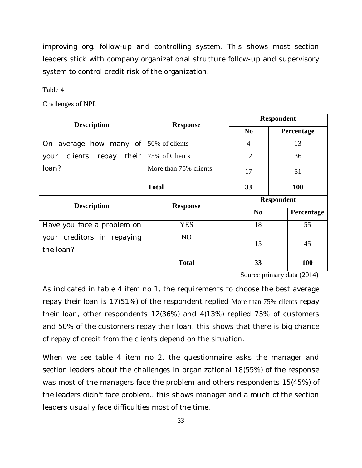improving org. follow-up and controlling system. This shows most section leaders stick with company organizational structure follow-up and supervisory system to control credit risk of the organization.

Table 4

Challenges of NPL

| <b>Description</b>             | <b>Response</b>       | <b>Respondent</b> |            |
|--------------------------------|-----------------------|-------------------|------------|
|                                |                       | N <sub>0</sub>    | Percentage |
| how many of<br>On<br>average   | 50% of clients        | 4                 | 13         |
| clients repay<br>their<br>your | 75% of Clients        | 12                | 36         |
| loan?                          | More than 75% clients | 17                | 51         |
|                                | <b>Total</b>          | 33                | 100        |
| <b>Description</b>             | <b>Response</b>       | <b>Respondent</b> |            |
|                                |                       | N <sub>0</sub>    | Percentage |
| Have you face a problem on     | <b>YES</b>            | 18                | 55         |
| your creditors in repaying     | N <sub>O</sub>        | 15                | 45         |
| the loan?                      |                       |                   |            |
|                                | <b>Total</b>          | 33                | 100        |

Source primary data (2014)

As indicated in table 4 item no 1, the requirements to choose the best average repay their loan is 17(51%) of the respondent replied More than 75% clients repay their loan, other respondents 12(36%) and 4(13%) replied 75% of customers and 50% of the customers repay their loan. this shows that there is big chance of repay of credit from the clients depend on the situation.

When we see table 4 item no 2, the questionnaire asks the manager and section leaders about the challenges in organizational 18(55%) of the response was most of the managers face the problem and others respondents 15(45%) of the leaders didn't face problem.. this shows manager and a much of the section leaders usually face difficulties most of the time.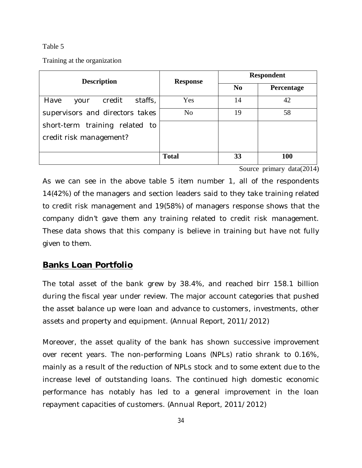#### Table 5

Training at the organization

| <b>Description</b>                | <b>Response</b> | <b>Respondent</b> |                   |
|-----------------------------------|-----------------|-------------------|-------------------|
|                                   |                 | N <sub>0</sub>    | <b>Percentage</b> |
| staffs,<br>Have<br>credit<br>your | Yes             | 14                | 42                |
| supervisors and directors takes   | N <sub>o</sub>  | 19                | 58                |
| short-term training related to    |                 |                   |                   |
| credit risk management?           |                 |                   |                   |
|                                   |                 |                   |                   |
|                                   | <b>Total</b>    | 33                | 100               |

Source primary data(2014)

As we can see in the above table 5 item number 1, all of the respondents 14(42%) of the managers and section leaders said to they take training related to credit risk management and 19(58%) of managers response shows that the company didn't gave them any training related to credit risk management. These data shows that this company is believe in training but have not fully given to them.

#### **Banks Loan Portfolio**

The total asset of the bank grew by 38.4%, and reached birr 158.1 billion during the fiscal year under review. The major account categories that pushed the asset balance up were loan and advance to customers, investments, other assets and property and equipment. (Annual Report, 2011/2012)

Moreover, the asset quality of the bank has shown successive improvement over recent years. The non-performing Loans (NPLs) ratio shrank to 0.16%, mainly as a result of the reduction of NPLs stock and to some extent due to the increase level of outstanding loans. The continued high domestic economic performance has notably has led to a general improvement in the loan repayment capacities of customers. (Annual Report, 2011/2012)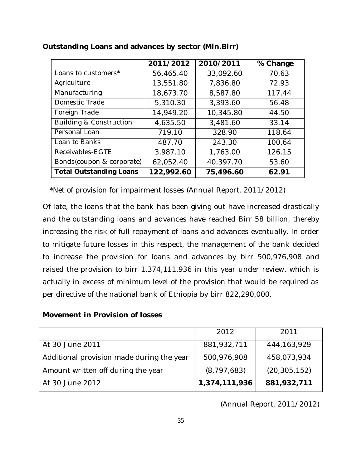|                                    | 2011/2012  | 2010/2011 | % Change |
|------------------------------------|------------|-----------|----------|
| Loans to customers*                | 56,465.40  | 33,092.60 | 70.63    |
| Agriculture                        | 13,551.80  | 7,836.80  | 72.93    |
| Manufacturing                      | 18,673.70  | 8,587.80  | 117.44   |
| Domestic Trade                     | 5,310.30   | 3,393.60  | 56.48    |
| Foreign Trade                      | 14,949.20  | 10,345.80 | 44.50    |
| <b>Building &amp; Construction</b> | 4,635.50   | 3,481.60  | 33.14    |
| Personal Loan                      | 719.10     | 328.90    | 118.64   |
| Loan to Banks                      | 487.70     | 243.30    | 100.64   |
| Receivables-EGTE                   | 3,987.10   | 1,763.00  | 126.15   |
| Bonds(coupon & corporate)          | 62,052.40  | 40,397.70 | 53.60    |
| <b>Total Outstanding Loans</b>     | 122,992.60 | 75,496.60 | 62.91    |

#### **Outstanding Loans and advances by sector (Min.Birr)**

\*Net of provision for impairment losses (Annual Report, 2011/2012)

Of late, the loans that the bank has been giving out have increased drastically and the outstanding loans and advances have reached Birr 58 billion, thereby increasing the risk of full repayment of loans and advances eventually. In order to mitigate future losses in this respect, the management of the bank decided to increase the provision for loans and advances by birr 500,976,908 and raised the provision to birr 1,374,111,936 in this year under review, which is actually in excess of minimum level of the provision that would be required as per directive of the national bank of Ethiopia by birr 822,290,000.

#### **Movement in Provision of losses**

|                                           | 2012          | 2011           |
|-------------------------------------------|---------------|----------------|
| At 30 June 2011                           | 881,932,711   | 444, 163, 929  |
| Additional provision made during the year | 500,976,908   | 458,073,934    |
| Amount written off during the year        | (8, 797, 683) | (20, 305, 152) |
| At 30 June 2012                           | 1,374,111,936 | 881,932,711    |

(Annual Report, 2011/2012)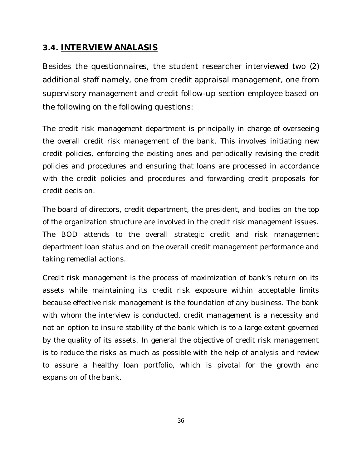#### *3.4.* **INTERVIEW ANALASIS**

Besides the questionnaires, the student researcher interviewed two (2) additional staff namely, one from credit appraisal management, one from supervisory management and credit follow-up section employee based on the following on the following questions:

The credit risk management department is principally in charge of overseeing the overall credit risk management of the bank. This involves initiating new credit policies, enforcing the existing ones and periodically revising the credit policies and procedures and ensuring that loans are processed in accordance with the credit policies and procedures and forwarding credit proposals for credit decision.

The board of directors, credit department, the president, and bodies on the top of the organization structure are involved in the credit risk management issues. The BOD attends to the overall strategic credit and risk management department loan status and on the overall credit management performance and taking remedial actions.

Credit risk management is the process of maximization of bank's return on its assets while maintaining its credit risk exposure within acceptable limits because effective risk management is the foundation of any business. The bank with whom the interview is conducted, credit management is a necessity and not an option to insure stability of the bank which is to a large extent governed by the quality of its assets. In general the objective of credit risk management is to reduce the risks as much as possible with the help of analysis and review to assure a healthy loan portfolio, which is pivotal for the growth and expansion of the bank.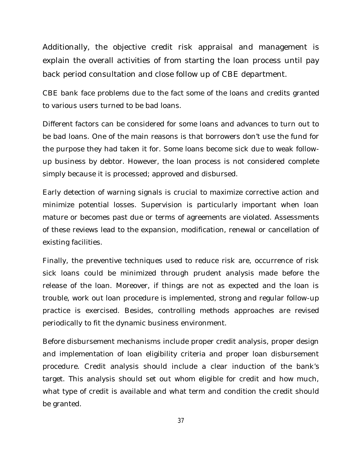Additionally, the objective credit risk appraisal and management is explain the overall activities of from starting the loan process until pay back period consultation and close follow up of CBE department.

CBE bank face problems due to the fact some of the loans and credits granted to various users turned to be bad loans.

Different factors can be considered for some loans and advances to turn out to be bad loans. One of the main reasons is that borrowers don't use the fund for the purpose they had taken it for. Some loans become sick due to weak followup business by debtor. However, the loan process is not considered complete simply because it is processed; approved and disbursed.

Early detection of warning signals is crucial to maximize corrective action and minimize potential losses. Supervision is particularly important when loan mature or becomes past due or terms of agreements are violated. Assessments of these reviews lead to the expansion, modification, renewal or cancellation of existing facilities.

Finally, the preventive techniques used to reduce risk are, occurrence of risk sick loans could be minimized through prudent analysis made before the release of the loan. Moreover, if things are not as expected and the loan is trouble, work out loan procedure is implemented, strong and regular follow-up practice is exercised. Besides, controlling methods approaches are revised periodically to fit the dynamic business environment.

Before disbursement mechanisms include proper credit analysis, proper design and implementation of loan eligibility criteria and proper loan disbursement procedure. Credit analysis should include a clear induction of the bank's target. This analysis should set out whom eligible for credit and how much, what type of credit is available and what term and condition the credit should be granted.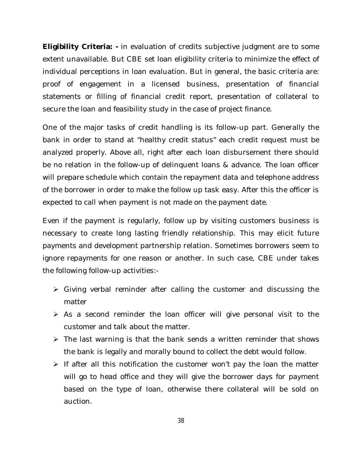**Eligibility Criteria: -** in evaluation of credits subjective judgment are to some extent unavailable. But CBE set loan eligibility criteria to minimize the effect of individual perceptions in loan evaluation. But in general, the basic criteria are: proof of engagement in a licensed business, presentation of financial statements or filling of financial credit report, presentation of collateral to secure the loan and feasibility study in the case of project finance.

One of the major tasks of credit handling is its follow-up part. Generally the bank in order to stand at "healthy credit status" each credit request must be analyzed properly. Above all, right after each loan disbursement there should be no relation in the follow-up of delinquent loans & advance. The loan officer will prepare schedule which contain the repayment data and telephone address of the borrower in order to make the follow up task easy. After this the officer is expected to call when payment is not made on the payment date.

Even if the payment is regularly, follow up by visiting customers business is necessary to create long lasting friendly relationship. This may elicit future payments and development partnership relation. Sometimes borrowers seem to ignore repayments for one reason or another. In such case, CBE under takes the following follow-up activities:-

- $\triangleright$  Giving verbal reminder after calling the customer and discussing the matter
- $\triangleright$  As a second reminder the loan officer will give personal visit to the customer and talk about the matter.
- $\triangleright$  The last warning is that the bank sends a written reminder that shows the bank is legally and morally bound to collect the debt would follow.
- $\triangleright$  If after all this notification the customer won't pay the loan the matter will go to head office and they will give the borrower days for payment based on the type of loan, otherwise there collateral will be sold on auction.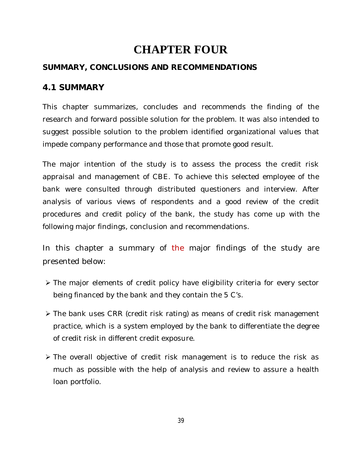# **CHAPTER FOUR**

### **SUMMARY, CONCLUSIONS AND RECOMMENDATIONS**

### **4.1 SUMMARY**

This chapter summarizes, concludes and recommends the finding of the research and forward possible solution for the problem. It was also intended to suggest possible solution to the problem identified organizational values that impede company performance and those that promote good result.

The major intention of the study is to assess the process the credit risk appraisal and management of CBE. To achieve this selected employee of the bank were consulted through distributed questioners and interview. After analysis of various views of respondents and a good review of the credit procedures and credit policy of the bank, the study has come up with the following major findings, conclusion and recommendations.

In this chapter a summary of the major findings of the study are presented below:

- The major elements of credit policy have eligibility criteria for every sector being financed by the bank and they contain the 5 C's.
- The bank uses CRR (credit risk rating) as means of credit risk management practice, which is a system employed by the bank to differentiate the degree of credit risk in different credit exposure.
- The overall objective of credit risk management is to reduce the risk as much as possible with the help of analysis and review to assure a health loan portfolio.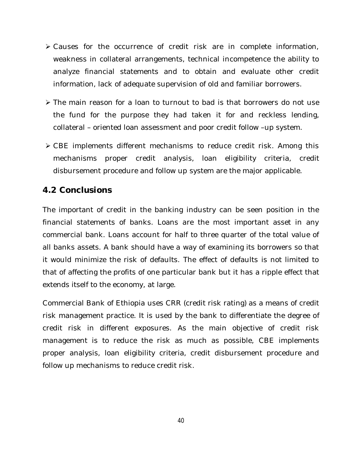- Causes for the occurrence of credit risk are in complete information, weakness in collateral arrangements, technical incompetence the ability to analyze financial statements and to obtain and evaluate other credit information, lack of adequate supervision of old and familiar borrowers.
- $\triangleright$  The main reason for a loan to turnout to bad is that borrowers do not use the fund for the purpose they had taken it for and reckless lending, collateral – oriented loan assessment and poor credit follow –up system.
- CBE implements different mechanisms to reduce credit risk. Among this mechanisms proper credit analysis, loan eligibility criteria, credit disbursement procedure and follow up system are the major applicable.

#### *4.2* **Conclusions**

The important of credit in the banking industry can be seen position in the financial statements of banks. Loans are the most important asset in any commercial bank. Loans account for half to three quarter of the total value of all banks assets. A bank should have a way of examining its borrowers so that it would minimize the risk of defaults. The effect of defaults is not limited to that of affecting the profits of one particular bank but it has a ripple effect that extends itself to the economy, at large.

Commercial Bank of Ethiopia uses CRR (credit risk rating) as a means of credit risk management practice. It is used by the bank to differentiate the degree of credit risk in different exposures. As the main objective of credit risk management is to reduce the risk as much as possible, CBE implements proper analysis, loan eligibility criteria, credit disbursement procedure and follow up mechanisms to reduce credit risk.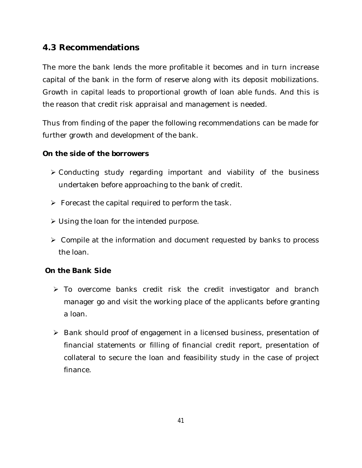#### **4.3 Recommendations**

The more the bank lends the more profitable it becomes and in turn increase capital of the bank in the form of reserve along with its deposit mobilizations. Growth in capital leads to proportional growth of loan able funds. And this is the reason that credit risk appraisal and management is needed.

Thus from finding of the paper the following recommendations can be made for further growth and development of the bank.

#### *On the side of the borrowers*

- Conducting study regarding important and viability of the business undertaken before approaching to the bank of credit.
- $\triangleright$  Forecast the capital required to perform the task.
- Using the loan for the intended purpose.
- Compile at the information and document requested by banks to process the loan.

#### *On the Bank Side*

- To overcome banks credit risk the credit investigator and branch manager go and visit the working place of the applicants before granting a loan.
- ▶ Bank should proof of engagement in a licensed business, presentation of financial statements or filling of financial credit report, presentation of collateral to secure the loan and feasibility study in the case of project finance.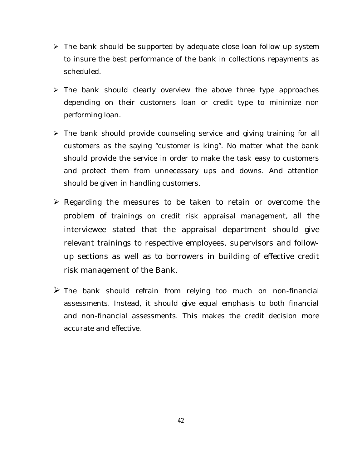- $\triangleright$  The bank should be supported by adequate close loan follow up system to insure the best performance of the bank in collections repayments as scheduled.
- $\triangleright$  The bank should clearly overview the above three type approaches depending on their customers loan or credit type to minimize non performing loan.
- $\triangleright$  The bank should provide counseling service and giving training for all customers as the saying "customer is king". No matter what the bank should provide the service in order to make the task easy to customers and protect them from unnecessary ups and downs. And attention should be given in handling customers.
- $\triangleright$  Regarding the measures to be taken to retain or overcome the problem of trainings on credit risk appraisal management, all the interviewee stated that the appraisal department should give relevant trainings to respective employees, supervisors and followup sections as well as to borrowers in building of effective credit risk management of the Bank.
- $\triangleright$  The bank should refrain from relying too much on non-financial assessments. Instead, it should give equal emphasis to both financial and non-financial assessments. This makes the credit decision more accurate and effective.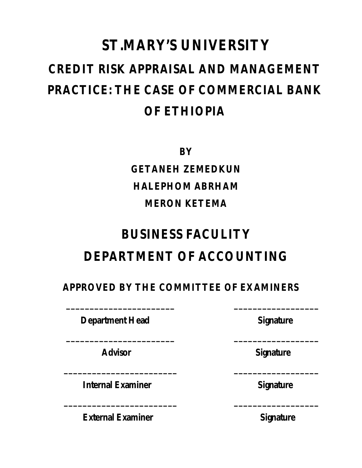# **ST.MARY'S UNIVERSITY CREDIT RISK APPRAISAL AND MANAGEMENT PRACTICE: THE CASE OF COMMERCIAL BANK OF ETHIOPIA**

**BY**

**GETANEH ZEMEDKUN HALEPHOM ABRHAM MERON KETEMA**

# **BUSINESS FACULITY DEPARTMENT OF ACCOUNTING**

# **APPROVED BY THE COMMITTEE OF EXAMINERS**

 **\_\_\_\_\_\_\_\_\_\_\_\_\_\_\_\_\_\_\_\_\_\_\_ \_\_\_\_\_\_\_\_\_\_\_\_\_\_\_\_\_\_**

 **\_\_\_\_\_\_\_\_\_\_\_\_\_\_\_\_\_\_\_\_\_\_\_ \_\_\_\_\_\_\_\_\_\_\_\_\_\_\_\_\_\_**

 **\_\_\_\_\_\_\_\_\_\_\_\_\_\_\_\_\_\_\_\_\_\_\_\_ \_\_\_\_\_\_\_\_\_\_\_\_\_\_\_\_\_\_**

 **\_\_\_\_\_\_\_\_\_\_\_\_\_\_\_\_\_\_\_\_\_\_\_\_ \_\_\_\_\_\_\_\_\_\_\_\_\_\_\_\_\_\_**

**Department Head Signature** 

**Internal Examiner Signature** 

**External Examiner** Signature

Advisor **Contract Contract Advisor** Signature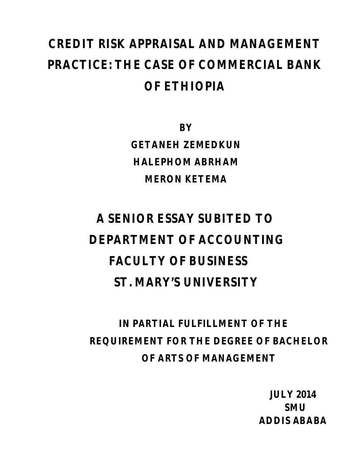# **CREDIT RISK APPRAISAL AND MANAGEMENT PRACTICE: THE CASE OF COMMERCIAL BANK OF ETHIOPIA**

**BY GETANEH ZEMEDKUN HALEPHOM ABRHAM MERON KETEMA**

# **A SENIOR ESSAY SUBITED TO DEPARTMENT OF ACCOUNTING FACULTY OF BUSINESS ST. MARY'S UNIVERSITY**

**IN PARTIAL FULFILLMENT OF THE REQUIREMENT FOR THE DEGREE OF BACHELOR OF ARTS OF MANAGEMENT**

 **JULY 2014 SMU ADDIS ABABA**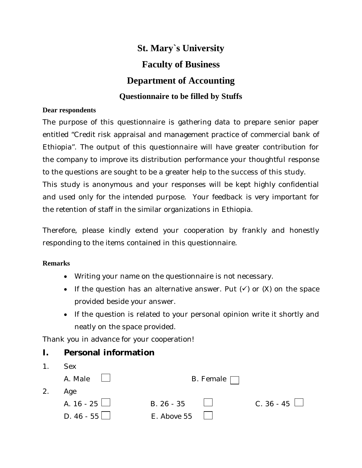# **St. Mary`s University Faculty of Business Department of Accounting Questionnaire to be filled by Stuffs**

#### **Dear respondents**

The purpose of this questionnaire is gathering data to prepare senior paper entitled "Credit risk appraisal and management practice of commercial bank of Ethiopia". The output of this questionnaire will have greater contribution for the company to improve its distribution performance your thoughtful response to the questions are sought to be a greater help to the success of this study. This study is anonymous and your responses will be kept highly confidential and used only for the intended purpose. Your feedback is very important for the retention of staff in the similar organizations in Ethiopia.

Therefore, please kindly extend your cooperation by frankly and honestly responding to the items contained in this questionnaire.

#### **Remarks**

- Writing your name on the questionnaire is not necessary.
- If the question has an alternative answer. Put  $(\checkmark)$  or  $(X)$  on the space provided beside your answer.
- If the question is related to your personal opinion write it shortly and neatly on the space provided.

Thank you in advance for your cooperation!

#### **I. Personal information**

| $\mathbf{1}$ . | <b>Sex</b>          |                  |                   |
|----------------|---------------------|------------------|-------------------|
|                | A. Male $\Box$      | B. Female $\Box$ |                   |
| 2.             | Age                 |                  |                   |
|                | A. $16 - 25$ $\Box$ | B. 26 - 35       | C. 36 - 45 $\Box$ |
|                | D. $46 - 55$ $\Box$ | E. Above 55      |                   |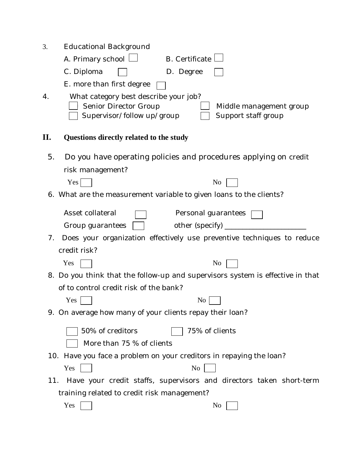| 3.<br>4.                                                 | Educational Background<br>A. Primary school $\Box$<br><b>B.</b> Certificate<br>C. Diploma<br>D. Degree<br>E. more than first degree<br>What category best describe your job? |  |  |
|----------------------------------------------------------|------------------------------------------------------------------------------------------------------------------------------------------------------------------------------|--|--|
|                                                          | Senior Director Group<br>Middle management group<br>Support staff group<br>Supervisor/follow up/group                                                                        |  |  |
| П.                                                       | Questions directly related to the study                                                                                                                                      |  |  |
| 5.                                                       | Do you have operating policies and procedures applying on credit                                                                                                             |  |  |
|                                                          | risk management?                                                                                                                                                             |  |  |
|                                                          | Yes<br>No                                                                                                                                                                    |  |  |
|                                                          | 6. What are the measurement variable to given loans to the clients?                                                                                                          |  |  |
|                                                          | Asset collateral<br>Personal guarantees                                                                                                                                      |  |  |
|                                                          | Group guarantees<br>other (specify) $\_\_$                                                                                                                                   |  |  |
| 7.                                                       | Does your organization effectively use preventive techniques to reduce                                                                                                       |  |  |
|                                                          | credit risk?                                                                                                                                                                 |  |  |
|                                                          | Yes<br>No                                                                                                                                                                    |  |  |
|                                                          | 8. Do you think that the follow-up and supervisors system is effective in that                                                                                               |  |  |
| of to control credit risk of the bank?                   |                                                                                                                                                                              |  |  |
|                                                          | N <sub>o</sub><br>Yes                                                                                                                                                        |  |  |
| 9. On average how many of your clients repay their loan? |                                                                                                                                                                              |  |  |
|                                                          | 75% of clients<br>50% of creditors                                                                                                                                           |  |  |
|                                                          | More than 75 % of clients                                                                                                                                                    |  |  |
|                                                          | 10. Have you face a problem on your creditors in repaying the loan?                                                                                                          |  |  |
|                                                          | Yes<br>N <sub>0</sub>                                                                                                                                                        |  |  |
| 11.                                                      | Have your credit staffs, supervisors and directors taken short-term                                                                                                          |  |  |
| training related to credit risk management?              |                                                                                                                                                                              |  |  |
|                                                          | Yes<br>No                                                                                                                                                                    |  |  |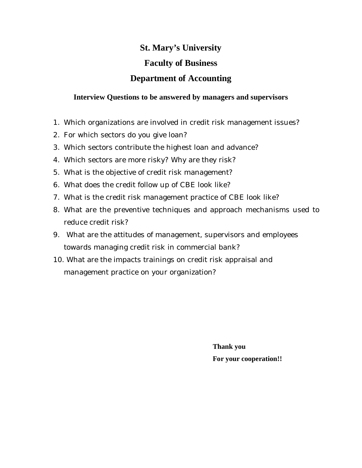# **St. Mary's University Faculty of Business Department of Accounting**

#### **Interview Questions to be answered by managers and supervisors**

- 1. Which organizations are involved in credit risk management issues?
- 2. For which sectors do you give loan?
- 3. Which sectors contribute the highest loan and advance?
- 4. Which sectors are more risky? Why are they risk?
- 5. What is the objective of credit risk management?
- 6. What does the credit follow up of CBE look like?
- 7. What is the credit risk management practice of CBE look like?
- 8. What are the preventive techniques and approach mechanisms used to reduce credit risk?
- 9. What are the attitudes of management, supervisors and employees towards managing credit risk in commercial bank?
- 10. What are the impacts trainings on credit risk appraisal and management practice on your organization?

**Thank you For your cooperation!!**